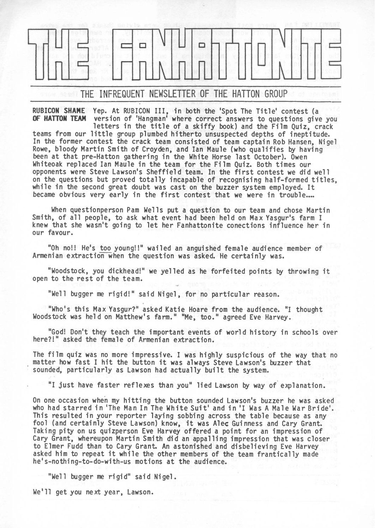

THE INFREQUENT NEWSLETTER OF THE HATTON GROUP

**RUBICON SHAME** Yep. At RUBICON III, in both the 'Spot The Title' contest (a **OF HATTON TEAM** version of 'Hangman' where correct answers to questions give you

letters in the title of <sup>a</sup> skiffy book) and the Film Quiz, crack teams from our little group plumbed hitherto unsuspected depths of ineptitude. In the former contest the crack team consisted of team captain Rob Hansen, Nigel Rowe, bloody Martin Smith of Croyden, and Ian Maule (who qualifies by having been at that pre-Hatton gathering in the White Horse last October). Owen Whiteoak replaced Ian Maule in the team for the Film Quiz. Both times our opponents were Steve Lawson's Sheffield team. In the first contest we did well on the questions but proved totally incapable of recognising half-formed titles, while in the second great doubt was cast on the buzzer system employed. It became obvious very early in the first contest that we were in trouble....

When questionperson Pam Wells put a question to our team and chose Martin Smith, of all people, to ask what event had been held on Max Yasgur's farm I knew that she wasn't going to let her Fanhattonite conections influence her in our favour.

"Oh no!! He's too young!!" wailed an anguished female audience member of Armenian extraction when the question was asked. He certainly was.

"Woodstock, you dickhead!" we yelled as he forfeited points by throwing it open to the rest of the team.

"Well bugger me rigid!" said Nigel, for no particular reason.

"Who's this Max Yasgur?" asked Katie Hoare from the audience. "I thought Woodstock was held on Matthew's farm." "Me, too." agreed Eve Harvey.

"God! Don't they teach the important events of world history in schools over here?!" asked the female of Armenian extraction.

The film quiz was no more impressive. I was highly suspicious of the way that no matter how fast <sup>I</sup> hit the button it was always Steve Lawson's buzzer that sounded, particularly as Lawson had actually built the system.

"I just have faster reflexes than you" lied Lawson by way of explanation.

On one occasion when my hitting the button sounded Lawson's buzzer he was asked who had starred in 'The Man In The White Suit' and in 'I Was <sup>A</sup> Male War Bride'. This resulted in your reporter laying sobbing across the table because as any Inis resulted in your reporter laying sobbing across the table because as are fool (and certainly Steve Lawson) know, it was Alec Guinness and Cary Grant. Taking pity on us quizperson Eve Harvey offered <sup>a</sup> point for an impression of Cary Grant, whereupon Martin Smith did an appalling impression that was closer to Elmer Fudd than to Cary Grant. An astonished and disbelieving Eve Harvey asked him to repeat it while the other members of the team frantically made he's-nothing-to-do-with-us motions at the audience.

"Well bugger me rigid" said Nigel.

We'll get you next year, Lawson.